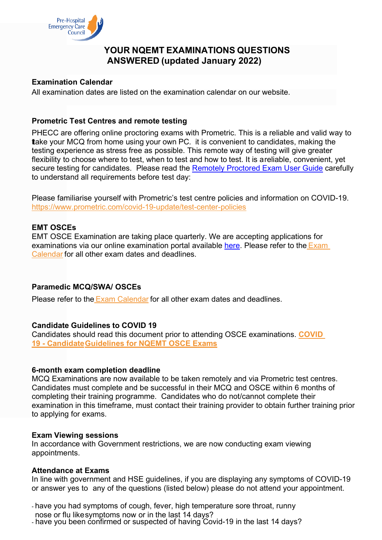

# **YOUR NQEMT EXAMINATIONS QUESTIONS ANSWERED (updated January 2022)**

## **Examination Calendar**

All examination dates are listed on the examination calendar on our website.

# **Prometric Test Centres and remote testing**

PHECC are offering online proctoring exams with Prometric. This is a reliable and valid way to take your MCQ from home using your own PC, it is convenient to candidates, making the testing experience as stress free as possible. This remote way of testing will give greater flexibility to choose where to test, when to test and how to test. It is areliable, convenient, yet secure testing for candidates. Please read the [Remotely Proctored Exam User Guide](https://www.prometric.com/sites/default/files/ProProctor/EU%20ProProctor%20User%20Guide.pdf) carefully to understand all requirements before test day:

Please familiarise yourself with Prometric's test centre policies and information on COVID-19. [https://www.prometric.com/covid-19-update/test-center-policies](https://www.prometric.com/PHECC?Hkey=fb963167-4e6d-4dc2-b35c-6f0cc6e0b86c)

## **EMT OSCEs**

EMT OSCE Examination are taking place quarterly. We are accepting applications for examinations via our online examination portal available [here.](https://www.phecit.ie/Custom/BSIDocumentSelector/Pages/DocumentViewer.aspx?id=oGsVrspmiT19SAbfZbZT1LKCZLJyPgTs043upve0yBUTpivmvPS0tsYoV4PqQUBx5bWIOVryH9JeoTjUphFa1NurMwme8tUbkArEEui77uJ9uLnRbeHyS4ZgHOzjtAt75ZoSLVSJYCAs3xP9HTZrZ744dzwf6XCizYzCkt1Hf7A%253d) Please refer to the [Exam](https://www.phecit.ie/PHECC/Careers_and_Education/Examinations/Examinations_Calendar/PHECC/Careers_and_Education/Examinations/Examinations_Calendar/Examinations_Calendar.aspx?Hkey=49f18f2e-258f-4fa7-8010-7737a310bb85) [Calendar](https://www.phecit.ie/PHECC/Careers_and_Education/Examinations/Examinations_Calendar/PHECC/Careers_and_Education/Examinations/Examinations_Calendar/Examinations_Calendar.aspx?Hkey=49f18f2e-258f-4fa7-8010-7737a310bb85) for all other exam dates and deadlines.

#### **Paramedic MCQ/SWA/ OSCEs**

Please refer to the Exam [Calendar](https://www.phecit.ie/PHECC/Careers_and_Education/Examinations/Examinations_Calendar/PHECC/Careers_and_Education/Examinations/Examinations_Calendar/Examinations_Calendar.aspx?Hkey=49f18f2e-258f-4fa7-8010-7737a310bb85) for all other exam dates and deadlines.

#### **Candidate Guidelines to COVID 19**

Candidates should read this document prior to attending OSCE examinations. **[COVID](https://www.phecit.ie/iMIS/ContentManagement/%5b%7E%5dCustom/BSIDocumentSelector/Pages/DocumentViewer.aspx?id=oGsVrspmiT19SAbfZbZT1LKCZLJyPgTs043upve0yBXgLOub1M72r1qJqGYDI4ttlUAmjfvJmI%252bkIYidVHEautt40tdmYnhCN3gs9uFL2UzZ05HzhR2r%252bTQR8rN2til%252bwY9G8Yyjq9mqMpNZmnf%252f%252f%252bW5BklxrWfWwxdXTIW95vW%252fv6EvPzhidgBzKqpAPuzl)  19 - [CandidateGuidelines](https://www.phecit.ie/iMIS/ContentManagement/%5b%7E%5dCustom/BSIDocumentSelector/Pages/DocumentViewer.aspx?id=oGsVrspmiT19SAbfZbZT1LKCZLJyPgTs043upve0yBXgLOub1M72r1qJqGYDI4ttlUAmjfvJmI%252bkIYidVHEautt40tdmYnhCN3gs9uFL2UzZ05HzhR2r%252bTQR8rN2til%252bwY9G8Yyjq9mqMpNZmnf%252f%252f%252bW5BklxrWfWwxdXTIW95vW%252fv6EvPzhidgBzKqpAPuzl) for NQEMT OSCE Exams**

#### **6-month exam completion deadline**

MCQ Examinations are now available to be taken remotely and via Prometric test centres. Candidates must complete and be successful in their MCQ and OSCE within 6 months of completing their training programme. Candidates who do not/cannot complete their examination in this timeframe, must contact their training provider to obtain further training prior to applying for exams.

#### **Exam Viewing sessions**

In accordance with Government restrictions, we are now conducting exam viewing appointments.

#### **Attendance at Exams**

In line with government and HSE guidelines, if you are displaying any symptoms of COVID-19 or answer yes to any of the questions (listed below) please do not attend your appointment.

- have you had symptoms of cough, fever, high temperature sore throat, runny nose or flu likesymptoms now or in the last 14 days?

- have you been confirmed or suspected of having Covid-19 in the last 14 days?